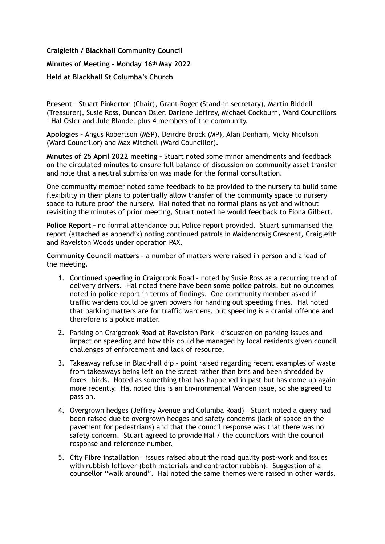**Craigleith / Blackhall Community Council** 

## **Minutes of Meeting – Monday 16th May 2022**

## **Held at Blackhall St Columba's Church**

**Present** – Stuart Pinkerton (Chair), Grant Roger (Stand-in secretary), Martin Riddell (Treasurer), Susie Ross, Duncan Osler, Darlene Jeffrey, Michael Cockburn, Ward Councillors – Hal Osler and Jule Blandel plus 4 members of the community.

**Apologies –** Angus Robertson (MSP), Deirdre Brock (MP), Alan Denham, Vicky Nicolson (Ward Councillor) and Max Mitchell (Ward Councillor).

**Minutes of 25 April 2022 meeting –** Stuart noted some minor amendments and feedback on the circulated minutes to ensure full balance of discussion on community asset transfer and note that a neutral submission was made for the formal consultation.

One community member noted some feedback to be provided to the nursery to build some flexibility in their plans to potentially allow transfer of the community space to nursery space to future proof the nursery. Hal noted that no formal plans as yet and without revisiting the minutes of prior meeting, Stuart noted he would feedback to Fiona Gilbert.

**Police Report –** no formal attendance but Police report provided. Stuart summarised the report (attached as appendix) noting continued patrols in Maidencraig Crescent, Craigleith and Ravelston Woods under operation PAX.

**Community Council matters –** a number of matters were raised in person and ahead of the meeting.

- 1. Continued speeding in Craigcrook Road noted by Susie Ross as a recurring trend of delivery drivers. Hal noted there have been some police patrols, but no outcomes noted in police report in terms of findings. One community member asked if traffic wardens could be given powers for handing out speeding fines. Hal noted that parking matters are for traffic wardens, but speeding is a cranial offence and therefore is a police matter.
- 2. Parking on Craigcrook Road at Ravelston Park discussion on parking issues and impact on speeding and how this could be managed by local residents given council challenges of enforcement and lack of resource.
- 3. Takeaway refuse in Blackhall dip point raised regarding recent examples of waste from takeaways being left on the street rather than bins and been shredded by foxes. birds. Noted as something that has happened in past but has come up again more recently. Hal noted this is an Environmental Warden issue, so she agreed to pass on.
- 4. Overgrown hedges (Jeffrey Avenue and Columba Road) Stuart noted a query had been raised due to overgrown hedges and safety concerns (lack of space on the pavement for pedestrians) and that the council response was that there was no safety concern. Stuart agreed to provide Hal / the councillors with the council response and reference number.
- 5. City Fibre installation issues raised about the road quality post-work and issues with rubbish leftover (both materials and contractor rubbish). Suggestion of a counsellor "walk around". Hal noted the same themes were raised in other wards.